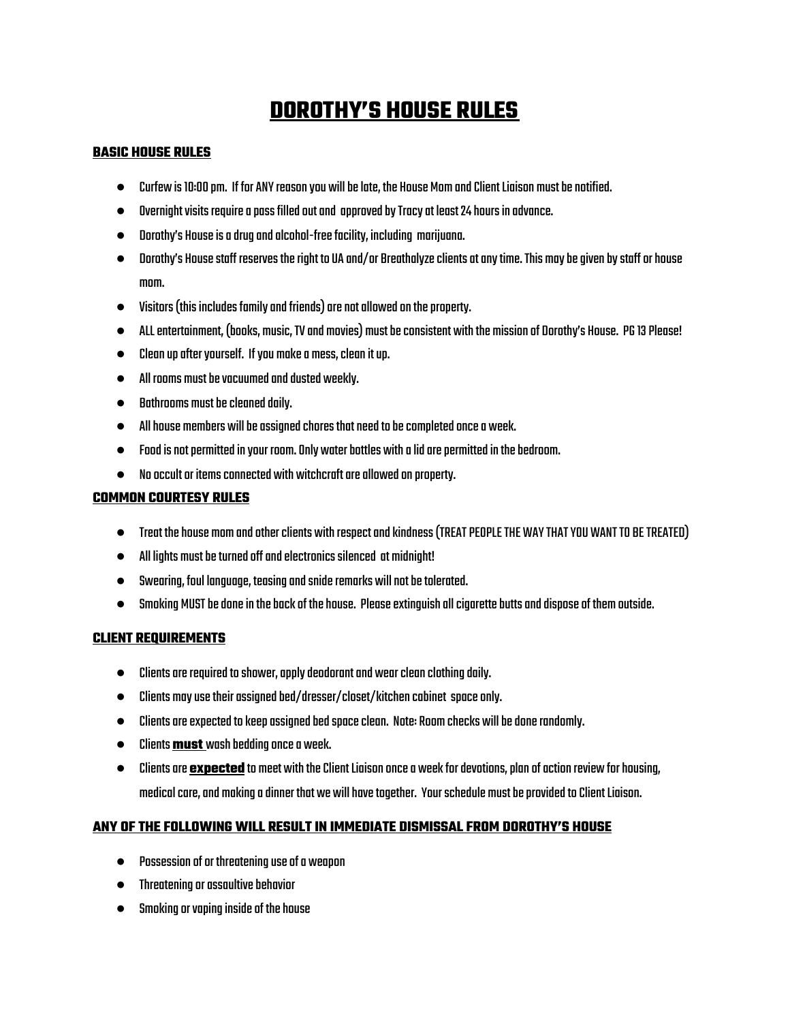# **DOROTHY'S HOUSE RULES**

### **BASIC HOUSE RULES**

- Curfew is 10:00 pm. If for ANY reason vou will be late, the House Mom and Client Liaison must be notified.
- $\bullet$  Dvernight visits require a pass filled out and approved by Tracy at least 24 hours in advance.
- Dorothy's Houseisadrugandalcohol-freefacility, including marijuana.
- Dorothy's House staff reserves the right to UA and/or Breathalyze clients at any time. This may be aiven by staff or house mom.
- $\bullet$  Visitors (this includes family and friends) are not allowed on the property.
- ALLentertainment, (books, music,TVand movies) mustbeconsistent withthe missionof Dorothy's House. PG13Please!
- $\bullet$  Clean up after yourself. If you make a mess, clean it up.
- $\bullet$  All rooms must be vacuumed and dusted weekly.
- $\bullet$  Bathrooms must be cleaned daily.
- Allhouse members willbeassignedchoresthatneedtobecompletedoncea week.
- $\bullet$  Food is not permitted in vour room. Only water bottles with a lid are permitted in the bedroom.
- $\bullet$  No occult or items connected with witchcraft are allowed on property.

### **COMMON COURTESY RULES**

- $\bullet$  Treat the house mom and other clients with respect and kindness (TREAT PEOPLE THE WAY THAT YOU WANT TO BE TREATED)
- $\bullet$  All lights must be turned off and electronics silenced at midnight!
- Swearing, foul language, teasing and snide remarks will not be tolerated.
- $\bullet$  Smoking MUST be done in the back of the house. Please extinguish all cigarette butts and dispose of them outside.

### **CLIENT REQUIREMENTS**

- $\bullet$  Clients are required to shower, apply deodorant and wear clean clothing daily.
- $\bullet$  Clients may use their assigned bed/dresser/closet/kitchen cabinet space only.
- $\bullet$  Clients are expected to keep assigned bed space clean. Note: Room checks will be done randomly.
- Clients**must** washbeddingoncea week.
- Clients are **expected** to meet with the Client Liaison once a week for devotions, plan of action review for housing, medical care, and making a dinner that we will have together. Your schedule must be provided to Client Liaison.

## **ANY OF THE FOLLOWING WILL RESULT IN IMMEDIATE DISMISSAL FROM DOROTHY'S HOUSE**

- Possessionofor threateninguseofa weapon
- $\bullet$  Threatening or assaultive behavior
- Smoking or vaping inside of the house